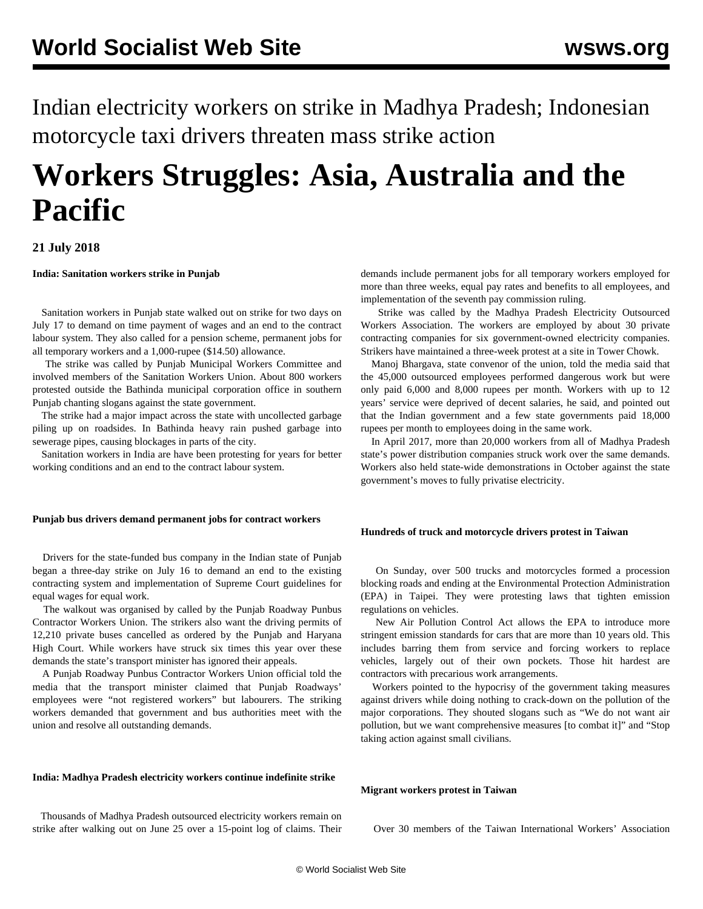Indian electricity workers on strike in Madhya Pradesh; Indonesian motorcycle taxi drivers threaten mass strike action

# **Workers Struggles: Asia, Australia and the Pacific**

### **21 July 2018**

**India: Sanitation workers strike in Punjab**

 Sanitation workers in Punjab state walked out on strike for two days on July 17 to demand on time payment of wages and an end to the contract labour system. They also called for a pension scheme, permanent jobs for all temporary workers and a 1,000-rupee (\$14.50) allowance.

 The strike was called by Punjab Municipal Workers Committee and involved members of the Sanitation Workers Union. About 800 workers protested outside the Bathinda municipal corporation office in southern Punjab chanting slogans against the state government.

 The strike had a major impact across the state with uncollected garbage piling up on roadsides. In Bathinda heavy rain pushed garbage into sewerage pipes, causing blockages in parts of the city.

 Sanitation workers in India are have been protesting for years for better working conditions and an end to the contract labour system.

#### **Punjab bus drivers demand permanent jobs for contract workers**

 Drivers for the state-funded bus company in the Indian state of Punjab began a three-day strike on July 16 to demand an end to the existing contracting system and implementation of Supreme Court guidelines for equal wages for equal work.

 The walkout was organised by called by the Punjab Roadway Punbus Contractor Workers Union. The strikers also want the driving permits of 12,210 private buses cancelled as ordered by the Punjab and Haryana High Court. While workers have struck six times this year over these demands the state's transport minister has ignored their appeals.

 A Punjab Roadway Punbus Contractor Workers Union official told the media that the transport minister claimed that Punjab Roadways' employees were "not registered workers" but labourers. The striking workers demanded that government and bus authorities meet with the union and resolve all outstanding demands.

#### **India: Madhya Pradesh electricity workers continue indefinite strike**

 Thousands of Madhya Pradesh outsourced electricity workers remain on strike after walking out on June 25 over a 15-point log of claims. Their demands include permanent jobs for all temporary workers employed for more than three weeks, equal pay rates and benefits to all employees, and implementation of the seventh pay commission ruling.

 Strike was called by the Madhya Pradesh Electricity Outsourced Workers Association. The workers are employed by about 30 private contracting companies for six government-owned electricity companies. Strikers have maintained a three-week protest at a site in Tower Chowk.

 Manoj Bhargava, state convenor of the union, told the media said that the 45,000 outsourced employees performed dangerous work but were only paid 6,000 and 8,000 rupees per month. Workers with up to 12 years' service were deprived of decent salaries, he said, and pointed out that the Indian government and a few state governments paid 18,000 rupees per month to employees doing in the same work.

 In April 2017, more than 20,000 workers from all of Madhya Pradesh state's power distribution companies struck work over the same demands. Workers also held state-wide demonstrations in October against the state government's moves to fully privatise electricity.

#### **Hundreds of truck and motorcycle drivers protest in Taiwan**

 On Sunday, over 500 trucks and motorcycles formed a procession blocking roads and ending at the Environmental Protection Administration (EPA) in Taipei. They were protesting laws that tighten emission regulations on vehicles.

 New Air Pollution Control Act allows the EPA to introduce more stringent emission standards for cars that are more than 10 years old. This includes barring them from service and forcing workers to replace vehicles, largely out of their own pockets. Those hit hardest are contractors with precarious work arrangements.

 Workers pointed to the hypocrisy of the government taking measures against drivers while doing nothing to crack-down on the pollution of the major corporations. They shouted slogans such as "We do not want air pollution, but we want comprehensive measures [to combat it]" and "Stop taking action against small civilians.

#### **Migrant workers protest in Taiwan**

Over 30 members of the Taiwan International Workers' Association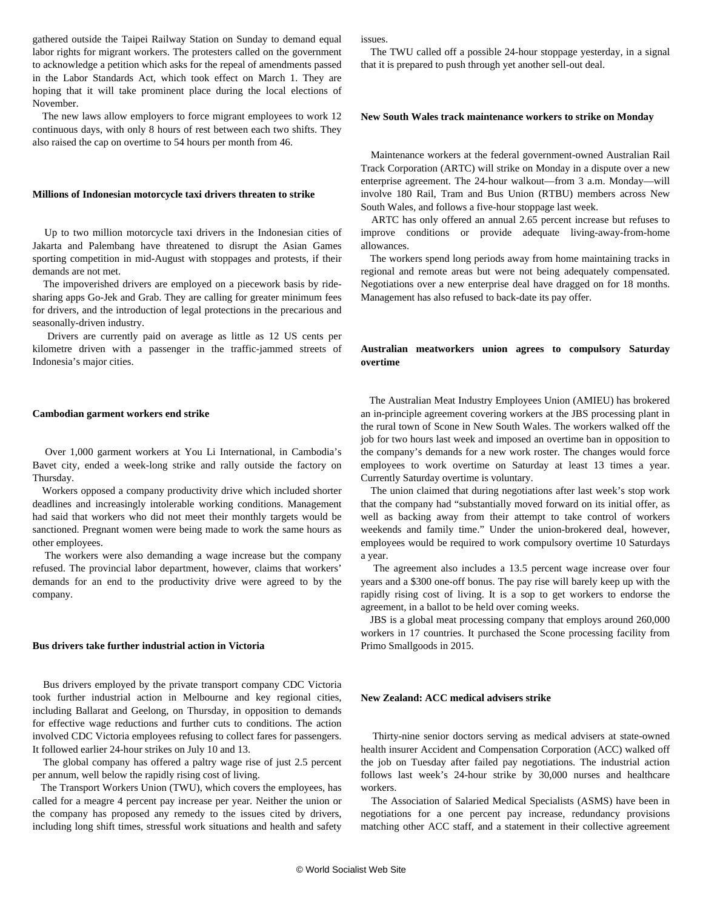gathered outside the Taipei Railway Station on Sunday to demand equal labor rights for migrant workers. The protesters called on the government to acknowledge a petition which asks for the repeal of amendments passed in the Labor Standards Act, which took effect on March 1. They are hoping that it will take prominent place during the local elections of November.

 The new laws allow employers to force migrant employees to work 12 continuous days, with only 8 hours of rest between each two shifts. They also raised the cap on overtime to 54 hours per month from 46.

#### **Millions of Indonesian motorcycle taxi drivers threaten to strike**

 Up to two million motorcycle taxi drivers in the Indonesian cities of Jakarta and Palembang have threatened to disrupt the Asian Games sporting competition in mid-August with stoppages and protests, if their demands are not met.

 The impoverished drivers are employed on a piecework basis by ridesharing apps Go-Jek and Grab. They are calling for greater minimum fees for drivers, and the introduction of legal protections in the precarious and seasonally-driven industry.

 Drivers are currently paid on average as little as 12 US cents per kilometre driven with a passenger in the traffic-jammed streets of Indonesia's major cities.

#### **Cambodian garment workers end strike**

 Over 1,000 garment workers at You Li International, in Cambodia's Bavet city, ended a week-long strike and rally outside the factory on Thursday.

 Workers opposed a company productivity drive which included shorter deadlines and increasingly intolerable working conditions. Management had said that workers who did not meet their monthly targets would be sanctioned. Pregnant women were being made to work the same hours as other employees.

 The workers were also demanding a wage increase but the company refused. The provincial labor department, however, claims that workers' demands for an end to the productivity drive were agreed to by the company.

#### **Bus drivers take further industrial action in Victoria**

 Bus drivers employed by the private transport company CDC Victoria took further industrial action in Melbourne and key regional cities, including Ballarat and Geelong, on Thursday, in opposition to demands for effective wage reductions and further cuts to conditions. The action involved CDC Victoria employees refusing to collect fares for passengers. It followed earlier 24-hour strikes on July 10 and 13.

 The global company has offered a paltry wage rise of just 2.5 percent per annum, well below the rapidly rising cost of living.

 The Transport Workers Union (TWU), which covers the employees, has called for a meagre 4 percent pay increase per year. Neither the union or the company has proposed any remedy to the issues cited by drivers, including long shift times, stressful work situations and health and safety issues.

 The TWU called off a possible 24-hour stoppage yesterday, in a signal that it is prepared to push through yet another sell-out deal.

#### **New South Wales track maintenance workers to strike on Monday**

 Maintenance workers at the federal government-owned Australian Rail Track Corporation (ARTC) will strike on Monday in a dispute over a new enterprise agreement. The 24-hour walkout—from 3 a.m. Monday—will involve 180 Rail, Tram and Bus Union (RTBU) members across New South Wales, and follows a five-hour stoppage last week.

 ARTC has only offered an annual 2.65 percent increase but refuses to improve conditions or provide adequate living-away-from-home allowances.

 The workers spend long periods away from home maintaining tracks in regional and remote areas but were not being adequately compensated. Negotiations over a new enterprise deal have dragged on for 18 months. Management has also refused to back-date its pay offer.

#### **Australian meatworkers union agrees to compulsory Saturday overtime**

 The Australian Meat Industry Employees Union (AMIEU) has brokered an in-principle agreement covering workers at the JBS processing plant in the rural town of Scone in New South Wales. The workers walked off the job for two hours last week and imposed an overtime ban in opposition to the company's demands for a new work roster. The changes would force employees to work overtime on Saturday at least 13 times a year. Currently Saturday overtime is voluntary.

 The union claimed that during negotiations after last week's stop work that the company had "substantially moved forward on its initial offer, as well as backing away from their attempt to take control of workers weekends and family time." Under the union-brokered deal, however, employees would be required to work compulsory overtime 10 Saturdays a year.

 The agreement also includes a 13.5 percent wage increase over four years and a \$300 one-off bonus. The pay rise will barely keep up with the rapidly rising cost of living. It is a sop to get workers to endorse the agreement, in a ballot to be held over coming weeks.

 JBS is a global meat processing company that employs around 260,000 workers in 17 countries. It purchased the Scone processing facility from Primo Smallgoods in 2015.

#### **New Zealand: ACC medical advisers strike**

 Thirty-nine senior doctors serving as medical advisers at state-owned health insurer Accident and Compensation Corporation (ACC) walked off the job on Tuesday after failed pay negotiations. The industrial action follows last week's 24-hour strike by 30,000 nurses and healthcare workers.

 The Association of Salaried Medical Specialists (ASMS) have been in negotiations for a one percent pay increase, redundancy provisions matching other ACC staff, and a statement in their collective agreement